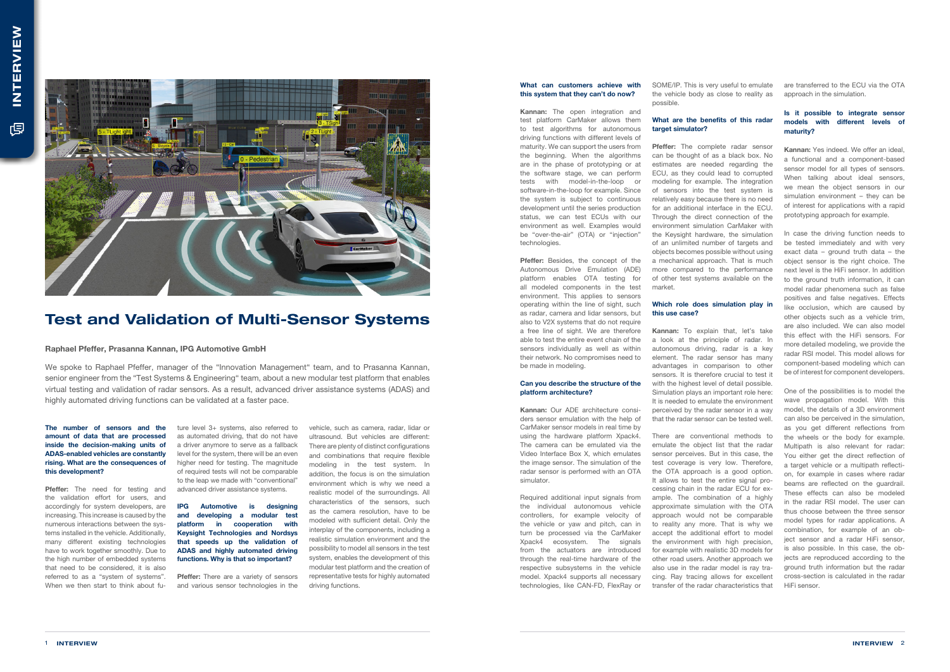We spoke to Raphael Pfeffer, manager of the "Innovation Management" team, and to Prasanna Kannan, senior engineer from the "Test Systems & Engineering" team, about a new modular test platform that enables virtual testing and validation of radar sensors. As a result, advanced driver assistance systems (ADAS) and highly automated driving functions can be validated at a faster pace.

#### Raphael Pfeffer, Prasanna Kannan, IPG Automotive GmbH



# Test and Validation of Multi-Sensor Systems

Pfeffer: The need for testing and the validation effort for users, and accordingly for system developers, are increasing. This increase is caused by the numerous interactions between the systems installed in the vehicle. Additionally, many different existing technologies have to work together smoothly. Due to the high number of embedded systems that need to be considered, it is also referred to as a "system of systems". When we then start to think about fu-

The number of sensors and the amount of data that are processed inside the decision-making units of ADAS-enabled vehicles are constantly rising. What are the consequences of this development?

> **Pfeffer:** There are a variety of sensors and various sensor technologies in the

ture level 3+ systems, also referred to as automated driving, that do not have a driver anymore to serve as a fallback level for the system, there will be an even higher need for testing. The magnitude of required tests will not be comparable to the leap we made with "conventional" advanced driver assistance systems.

Kannan: The open integration and test platform CarMaker allows them to test algorithms for autonomous driving functions with different levels of maturity. We can support the users from the beginning. When the algorithms are in the phase of prototyping or at the software stage, we can perform tests with model-in-the-loop or software-in-the-loop for example. Since the system is subject to continuous development until the series production status, we can test ECUs with our environment as well. Examples would be "over-the-air" (OTA) or "injection" technologies.

IPG Automotive is designing and developing a modular test platform in cooperation with Keysight Technologies and Nordsys that speeds up the validation of ADAS and highly automated driving functions. Why is that so important?

Pfeffer: Besides, the concept of the Autonomous Drive Emulation (ADE) platform enables OTA testing for all modeled components in the test environment. This applies to sensors operating within the line of sight, such as radar, camera and lidar sensors, but also to V2X systems that do not require a free line of sight. We are therefore able to test the entire event chain of the sensors individually as well as within their network. No compromises need to be made in modeling.

vehicle, such as camera, radar, lidar or ultrasound. But vehicles are different: There are plenty of distinct configurations and combinations that require flexible modeling in the test system. In addition, the focus is on the simulation environment which is why we need a realistic model of the surroundings. All characteristics of the sensors, such as the camera resolution, have to be modeled with sufficient detail. Only the interplay of the components, including a realistic simulation environment and the possibility to model all sensors in the test system, enables the development of this modular test platform and the creation of representative tests for highly automated driving functions.

# What are the benefits of this radar target simulator?

### What can customers achieve with this system that they can't do now?

Pfeffer: The complete radar sensor can be thought of as a black box. No estimates are needed regarding the ECU, as they could lead to corrupted modeling for example. The integration of sensors into the test system is relatively easy because there is no need for an additional interface in the ECU. Through the direct connection of the environment simulation CarMaker with the Keysight hardware, the simulation of an unlimited number of targets and objects becomes possible without using a mechanical approach. That is much more compared to the performance of other test systems available on the market.

Kannan: To explain that, let's take a look at the principle of radar. In autonomous driving, radar is a key element. The radar sensor has many advantages in comparison to other sensors. It is therefore crucial to test it with the highest level of detail possible. Simulation plays an important role here: It is needed to emulate the environment perceived by the radar sensor in a way that the radar sensor can be tested well.

# Can you describe the structure of the platform architecture?

Kannan: Our ADE architecture considers sensor emulation with the help of CarMaker sensor models in real time by using the hardware platform Xpack4. The camera can be emulated via the Video Interface Box X, which emulates the image sensor. The simulation of the radar sensor is performed with an OTA simulator.

Required additional input signals from the individual autonomous vehicle controllers, for example velocity of the vehicle or yaw and pitch, can in turn be processed via the CarMaker Xpack4 ecosystem. The signals from the actuators are introduced through the real-time hardware of the respective subsystems in the vehicle model. Xpack4 supports all necessary technologies, like CAN-FD, FlexRay or SOME/IP. This is very useful to emulate the vehicle body as close to reality as possible.

#### Which role does simulation play in this use case?

There are conventional methods to emulate the object list that the radar sensor perceives. But in this case, the test coverage is very low. Therefore, the OTA approach is a good option. It allows to test the entire signal processing chain in the radar ECU for example. The combination of a highly approximate simulation with the OTA approach would not be comparable to reality any more. That is why we accept the additional effort to model the environment with high precision. for example with realistic 3D models for other road users. Another approach we also use in the radar model is ray tracing. Ray tracing allows for excellent transfer of the radar characteristics that

are transferred to the ECU via the OTA approach in the simulation.

## Is it possible to integrate sensor models with different levels of maturity?

Kannan: Yes indeed. We offer an ideal, a functional and a component-based sensor model for all types of sensors. When talking about ideal sensors, we mean the object sensors in our simulation environment – they can be of interest for applications with a rapid prototyping approach for example.

In case the driving function needs to be tested immediately and with very exact data – ground truth data – the object sensor is the right choice. The next level is the HiFi sensor. In addition to the ground truth information, it can model radar phenomena such as false positives and false negatives. Effects like occlusion, which are caused by other objects such as a vehicle trim, are also included. We can also model this effect with the HiFi sensors. For more detailed modeling, we provide the radar RSI model. This model allows for component-based modeling which can be of interest for component developers.

One of the possibilities is to model the wave propagation model. With this model, the details of a 3D environment can also be perceived in the simulation, as you get different reflections from the wheels or the body for example. Multipath is also relevant for radar: You either get the direct reflection of a target vehicle or a multipath reflection, for example in cases where radar beams are reflected on the guardrail. These effects can also be modeled in the radar RSI model. The user can thus choose between the three sensor model types for radar applications. A combination, for example of an object sensor and a radar HiFi sensor, is also possible. In this case, the objects are reproduced according to the ground truth information but the radar cross-section is calculated in the radar HiFi sensor.